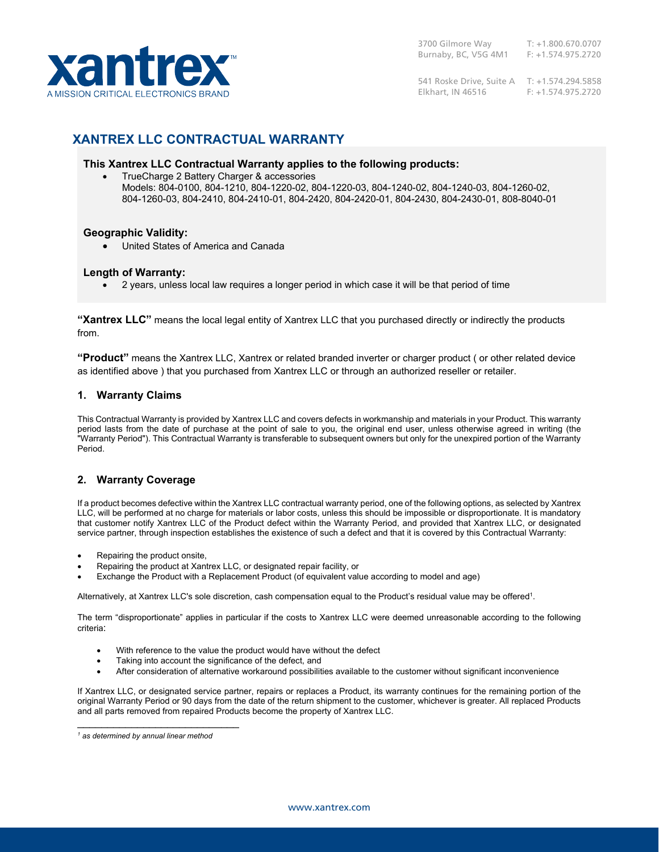

541 Roske Drive, Suite A T: +1.574.294.5858 Elkhart, IN 46516 F: +1.574.975.2720

# **XANTREX LLC CONTRACTUAL WARRANTY**

# **This Xantrex LLC Contractual Warranty applies to the following products:**

• TrueCharge 2 Battery Charger & accessories Models: 804-0100, 804-1210, 804-1220-02, 804-1220-03, 804-1240-02, 804-1240-03, 804-1260-02, 804-1260-03, 804-2410, 804-2410-01, 804-2420, 804-2420-01, 804-2430, 804-2430-01, 808-8040-01

### **Geographic Validity:**

• United States of America and Canada

### **Length of Warranty:**

• 2 years, unless local law requires a longer period in which case it will be that period of time

**"Xantrex LLC"** means the local legal entity of Xantrex LLC that you purchased directly or indirectly the products from.

**"Product"** means the Xantrex LLC, Xantrex or related branded inverter or charger product ( or other related device as identified above ) that you purchased from Xantrex LLC or through an authorized reseller or retailer.

# **1. Warranty Claims**

This Contractual Warranty is provided by Xantrex LLC and covers defects in workmanship and materials in your Product. This warranty period lasts from the date of purchase at the point of sale to you, the original end user, unless otherwise agreed in writing (the "Warranty Period"). This Contractual Warranty is transferable to subsequent owners but only for the unexpired portion of the Warranty Period.

# **2. Warranty Coverage**

If a product becomes defective within the Xantrex LLC contractual warranty period, one of the following options, as selected by Xantrex LLC, will be performed at no charge for materials or labor costs, unless this should be impossible or disproportionate. It is mandatory that customer notify Xantrex LLC of the Product defect within the Warranty Period, and provided that Xantrex LLC, or designated service partner, through inspection establishes the existence of such a defect and that it is covered by this Contractual Warranty:

- Repairing the product onsite,
- Repairing the product at Xantrex LLC, or designated repair facility, or
- Exchange the Product with a Replacement Product (of equivalent value according to model and age)

Alternatively, at Xantrex LLC's sole discretion, cash compensation equal to the Product's residual value may be offered $^1$ .

The term "disproportionate" applies in particular if the costs to Xantrex LLC were deemed unreasonable according to the following criteria:

- With reference to the value the product would have without the defect
- Taking into account the significance of the defect, and
- After consideration of alternative workaround possibilities available to the customer without significant inconvenience

If Xantrex LLC, or designated service partner, repairs or replaces a Product, its warranty continues for the remaining portion of the original Warranty Period or 90 days from the date of the return shipment to the customer, whichever is greater. All replaced Products and all parts removed from repaired Products become the property of Xantrex LLC.

\_\_\_\_\_\_\_\_\_\_\_\_\_\_\_\_\_\_\_\_\_\_\_\_\_\_\_

*<sup>1</sup> as determined by annual linear method*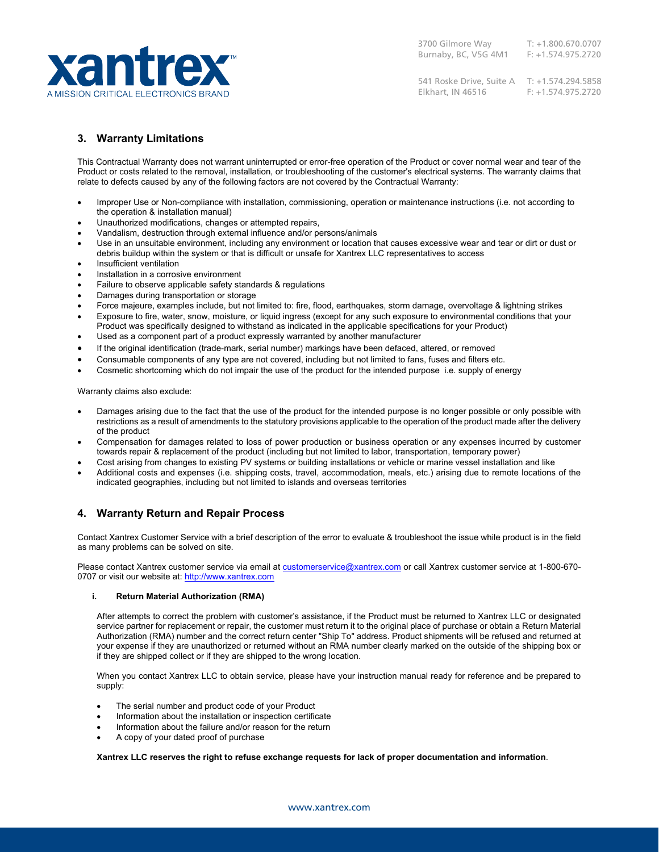

541 Roske Drive, Suite A T: +1.574.294.5858 Elkhart, IN 46516 F: +1.574.975.2720

# **3. Warranty Limitations**

This Contractual Warranty does not warrant uninterrupted or error-free operation of the Product or cover normal wear and tear of the Product or costs related to the removal, installation, or troubleshooting of the customer's electrical systems. The warranty claims that relate to defects caused by any of the following factors are not covered by the Contractual Warranty:

- Improper Use or Non-compliance with installation, commissioning, operation or maintenance instructions (i.e. not according to the operation & installation manual)
- Unauthorized modifications, changes or attempted repairs,
- Vandalism, destruction through external influence and/or persons/animals
- Use in an unsuitable environment, including any environment or location that causes excessive wear and tear or dirt or dust or debris buildup within the system or that is difficult or unsafe for Xantrex LLC representatives to access
- Insufficient ventilation
- Installation in a corrosive environment
- Failure to observe applicable safety standards & regulations
- Damages during transportation or storage
- Force majeure, examples include, but not limited to: fire, flood, earthquakes, storm damage, overvoltage & lightning strikes
- Exposure to fire, water, snow, moisture, or liquid ingress (except for any such exposure to environmental conditions that your Product was specifically designed to withstand as indicated in the applicable specifications for your Product)
- Used as a component part of a product expressly warranted by another manufacturer
- If the original identification (trade-mark, serial number) markings have been defaced, altered, or removed
- Consumable components of any type are not covered, including but not limited to fans, fuses and filters etc.
- Cosmetic shortcoming which do not impair the use of the product for the intended purpose i.e. supply of energy

Warranty claims also exclude:

- Damages arising due to the fact that the use of the product for the intended purpose is no longer possible or only possible with restrictions as a result of amendments to the statutory provisions applicable to the operation of the product made after the delivery of the product
- Compensation for damages related to loss of power production or business operation or any expenses incurred by customer towards repair & replacement of the product (including but not limited to labor, transportation, temporary power)
- Cost arising from changes to existing PV systems or building installations or vehicle or marine vessel installation and like
- Additional costs and expenses (i.e. shipping costs, travel, accommodation, meals, etc.) arising due to remote locations of the indicated geographies, including but not limited to islands and overseas territories

### **4. Warranty Return and Repair Process**

Contact Xantrex Customer Service with a brief description of the error to evaluate & troubleshoot the issue while product is in the field as many problems can be solved on site.

Please contact Xantrex customer service via email at [customerservice@xantrex.com](mailto:customerservice@xantrex.com) or call Xantrex customer service at 1-800-6700707 or visit our website at: [http://www.xantrex.com](http://www.xantrex.com/)

### **i. Return Material Authorization (RMA)**

After attempts to correct the problem with customer's assistance, if the Product must be returned to Xantrex LLC or designated service partner for replacement or repair, the customer must return it to the original place of purchase or obtain a Return Material Authorization (RMA) number and the correct return center "Ship To" address. Product shipments will be refused and returned at your expense if they are unauthorized or returned without an RMA number clearly marked on the outside of the shipping box or if they are shipped collect or if they are shipped to the wrong location.

When you contact Xantrex LLC to obtain service, please have your instruction manual ready for reference and be prepared to supply:

- The serial number and product code of your Product
- Information about the installation or inspection certificate
- Information about the failure and/or reason for the return
- A copy of your dated proof of purchase

**Xantrex LLC reserves the right to refuse exchange requests for lack of proper documentation and information**.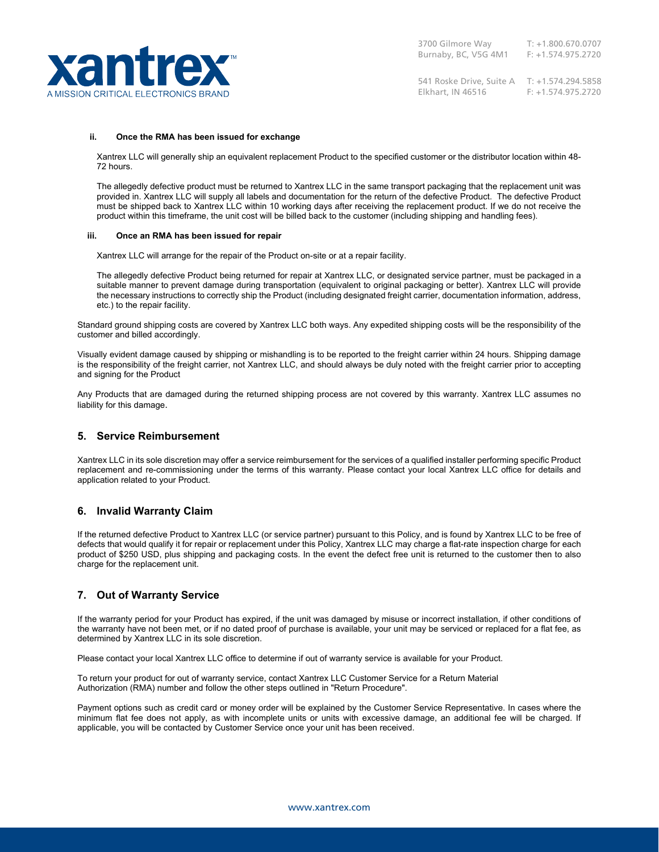

541 Roske Drive, Suite A T: +1.574.294.5858 Elkhart, IN 46516 F: +1.574.975.2720

#### **ii. Once the RMA has been issued for exchange**

Xantrex LLC will generally ship an equivalent replacement Product to the specified customer or the distributor location within 48- 72 hours.

The allegedly defective product must be returned to Xantrex LLC in the same transport packaging that the replacement unit was provided in. Xantrex LLC will supply all labels and documentation for the return of the defective Product. The defective Product must be shipped back to Xantrex LLC within 10 working days after receiving the replacement product. If we do not receive the product within this timeframe, the unit cost will be billed back to the customer (including shipping and handling fees).

#### **iii. Once an RMA has been issued for repair**

Xantrex LLC will arrange for the repair of the Product on-site or at a repair facility.

The allegedly defective Product being returned for repair at Xantrex LLC, or designated service partner, must be packaged in a suitable manner to prevent damage during transportation (equivalent to original packaging or better). Xantrex LLC will provide the necessary instructions to correctly ship the Product (including designated freight carrier, documentation information, address, etc.) to the repair facility.

Standard ground shipping costs are covered by Xantrex LLC both ways. Any expedited shipping costs will be the responsibility of the customer and billed accordingly.

Visually evident damage caused by shipping or mishandling is to be reported to the freight carrier within 24 hours. Shipping damage is the responsibility of the freight carrier, not Xantrex LLC, and should always be duly noted with the freight carrier prior to accepting and signing for the Product

Any Products that are damaged during the returned shipping process are not covered by this warranty. Xantrex LLC assumes no liability for this damage.

### **5. Service Reimbursement**

Xantrex LLC in its sole discretion may offer a service reimbursement for the services of a qualified installer performing specific Product replacement and re-commissioning under the terms of this warranty. Please contact your local Xantrex LLC office for details and application related to your Product.

### **6. Invalid Warranty Claim**

If the returned defective Product to Xantrex LLC (or service partner) pursuant to this Policy, and is found by Xantrex LLC to be free of defects that would qualify it for repair or replacement under this Policy, Xantrex LLC may charge a flat-rate inspection charge for each product of \$250 USD, plus shipping and packaging costs. In the event the defect free unit is returned to the customer then to also charge for the replacement unit.

### **7. Out of Warranty Service**

If the warranty period for your Product has expired, if the unit was damaged by misuse or incorrect installation, if other conditions of the warranty have not been met, or if no dated proof of purchase is available, your unit may be serviced or replaced for a flat fee, as determined by Xantrex LLC in its sole discretion.

Please contact your local Xantrex LLC office to determine if out of warranty service is available for your Product.

To return your product for out of warranty service, contact Xantrex LLC Customer Service for a Return Material Authorization (RMA) number and follow the other steps outlined in "Return Procedure".

Payment options such as credit card or money order will be explained by the Customer Service Representative. In cases where the minimum flat fee does not apply, as with incomplete units or units with excessive damage, an additional fee will be charged. If applicable, you will be contacted by Customer Service once your unit has been received.